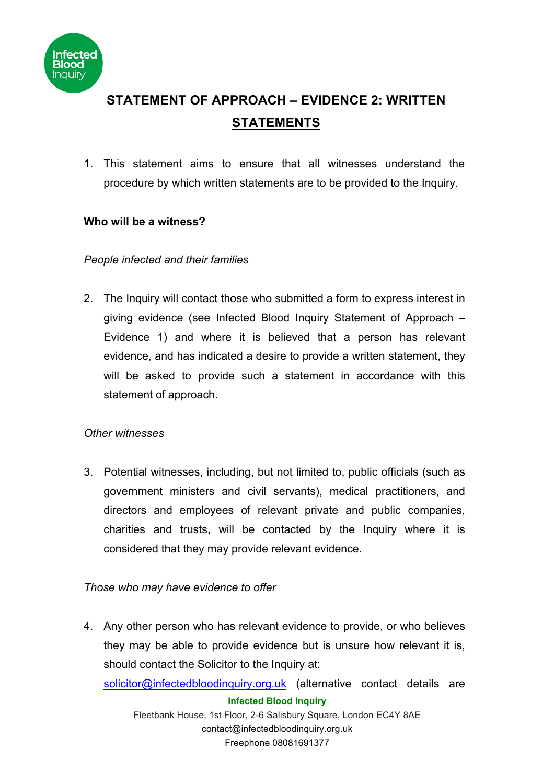

# **STATEMENT OF APPROACH – EVIDENCE 2: WRITTEN STATEMENTS**

1. This statement aims to ensure that all witnesses understand the procedure by which written statements are to be provided to the Inquiry.

## **Who will be a witness?**

## *People infected and their families*

2. The Inquiry will contact those who submitted a form to express interest in giving evidence (see Infected Blood Inquiry Statement of Approach – Evidence 1) and where it is believed that a person has relevant evidence, and has indicated a desire to provide a written statement, they will be asked to provide such a statement in accordance with this statement of approach.

## *Other witnesses*

3. Potential witnesses, including, but not limited to, public officials (such as government ministers and civil servants), medical practitioners, and directors and employees of relevant private and public companies, charities and trusts, will be contacted by the Inquiry where it is considered that they may provide relevant evidence.

## *Those who may have evidence to offer*

4. Any other person who has relevant evidence to provide, or who believes they may be able to provide evidence but is unsure how relevant it is, should contact the Solicitor to the Inquiry at:

solicitor@infectedbloodinquiry.org.uk (alternative contact details are

#### **Infected Blood Inquiry**

Fleetbank House, 1st Floor, 2-6 Salisbury Square, London EC4Y 8AE contact@infectedbloodinquiry.org.uk Freephone 08081691377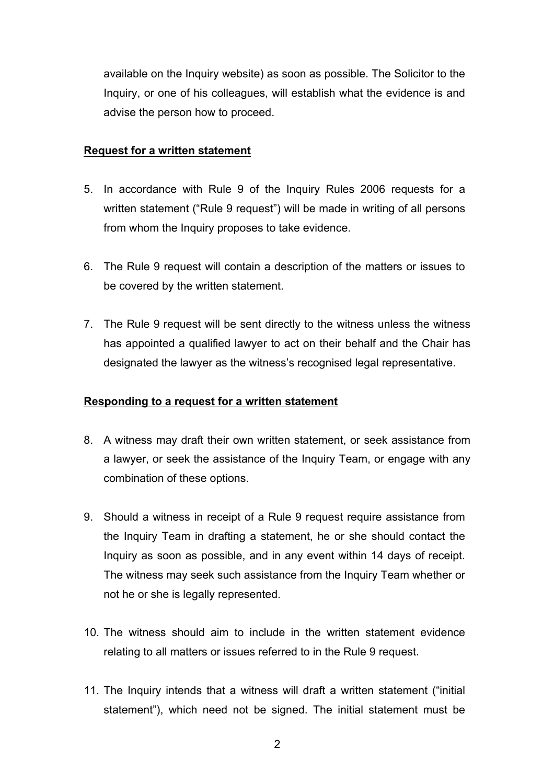available on the Inquiry website) as soon as possible. The Solicitor to the Inquiry, or one of his colleagues, will establish what the evidence is and advise the person how to proceed.

#### **Request for a written statement**

- 5. In accordance with Rule 9 of the Inquiry Rules 2006 requests for a written statement ("Rule 9 request") will be made in writing of all persons from whom the Inquiry proposes to take evidence.
- 6. The Rule 9 request will contain a description of the matters or issues to be covered by the written statement.
- 7. The Rule 9 request will be sent directly to the witness unless the witness has appointed a qualified lawyer to act on their behalf and the Chair has designated the lawyer as the witness's recognised legal representative.

#### **Responding to a request for a written statement**

- 8. A witness may draft their own written statement, or seek assistance from a lawyer, or seek the assistance of the Inquiry Team, or engage with any combination of these options.
- 9. Should a witness in receipt of a Rule 9 request require assistance from the Inquiry Team in drafting a statement, he or she should contact the Inquiry as soon as possible, and in any event within 14 days of receipt. The witness may seek such assistance from the Inquiry Team whether or not he or she is legally represented.
- 10. The witness should aim to include in the written statement evidence relating to all matters or issues referred to in the Rule 9 request.
- 11. The Inquiry intends that a witness will draft a written statement ("initial statement"), which need not be signed. The initial statement must be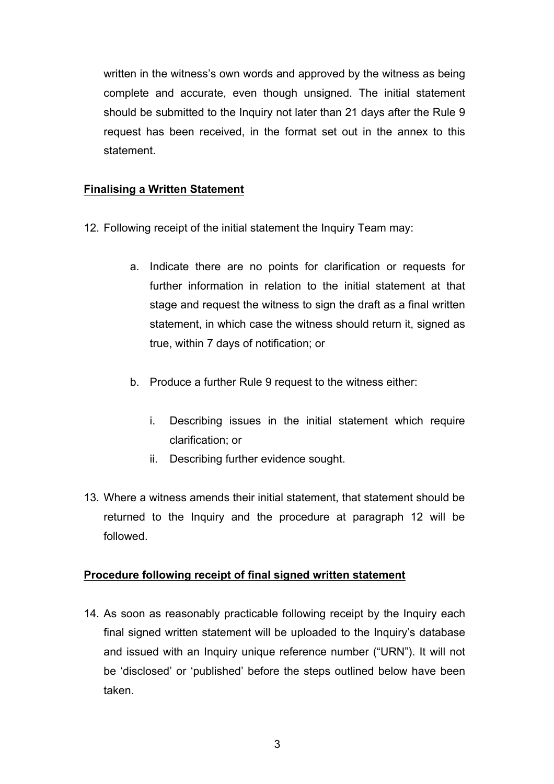written in the witness's own words and approved by the witness as being complete and accurate, even though unsigned. The initial statement should be submitted to the Inquiry not later than 21 days after the Rule 9 request has been received, in the format set out in the annex to this statement.

#### **Finalising a Written Statement**

- 12. Following receipt of the initial statement the Inquiry Team may:
	- a. Indicate there are no points for clarification or requests for further information in relation to the initial statement at that stage and request the witness to sign the draft as a final written statement, in which case the witness should return it, signed as true, within 7 days of notification; or
	- b. Produce a further Rule 9 request to the witness either:
		- i. Describing issues in the initial statement which require clarification; or
		- ii. Describing further evidence sought.
- 13. Where a witness amends their initial statement, that statement should be returned to the Inquiry and the procedure at paragraph 12 will be followed.

## **Procedure following receipt of final signed written statement**

14. As soon as reasonably practicable following receipt by the Inquiry each final signed written statement will be uploaded to the Inquiry's database and issued with an Inquiry unique reference number ("URN"). It will not be 'disclosed' or 'published' before the steps outlined below have been taken.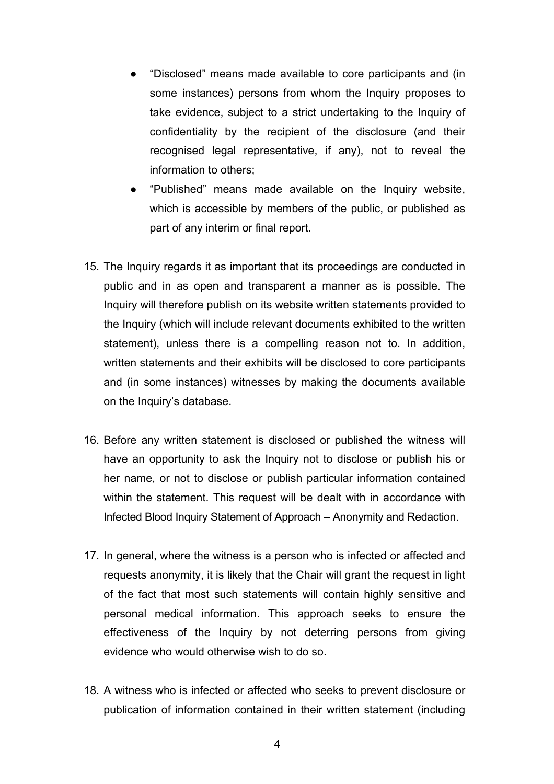- "Disclosed" means made available to core participants and (in some instances) persons from whom the Inquiry proposes to take evidence, subject to a strict undertaking to the Inquiry of confidentiality by the recipient of the disclosure (and their recognised legal representative, if any), not to reveal the information to others;
- "Published" means made available on the Inquiry website, which is accessible by members of the public, or published as part of any interim or final report.
- 15. The Inquiry regards it as important that its proceedings are conducted in public and in as open and transparent a manner as is possible. The Inquiry will therefore publish on its website written statements provided to the Inquiry (which will include relevant documents exhibited to the written statement), unless there is a compelling reason not to. In addition, written statements and their exhibits will be disclosed to core participants and (in some instances) witnesses by making the documents available on the Inquiry's database.
- 16. Before any written statement is disclosed or published the witness will have an opportunity to ask the Inquiry not to disclose or publish his or her name, or not to disclose or publish particular information contained within the statement. This request will be dealt with in accordance with Infected Blood Inquiry Statement of Approach – Anonymity and Redaction.
- 17. In general, where the witness is a person who is infected or affected and requests anonymity, it is likely that the Chair will grant the request in light of the fact that most such statements will contain highly sensitive and personal medical information. This approach seeks to ensure the effectiveness of the Inquiry by not deterring persons from giving evidence who would otherwise wish to do so.
- 18. A witness who is infected or affected who seeks to prevent disclosure or publication of information contained in their written statement (including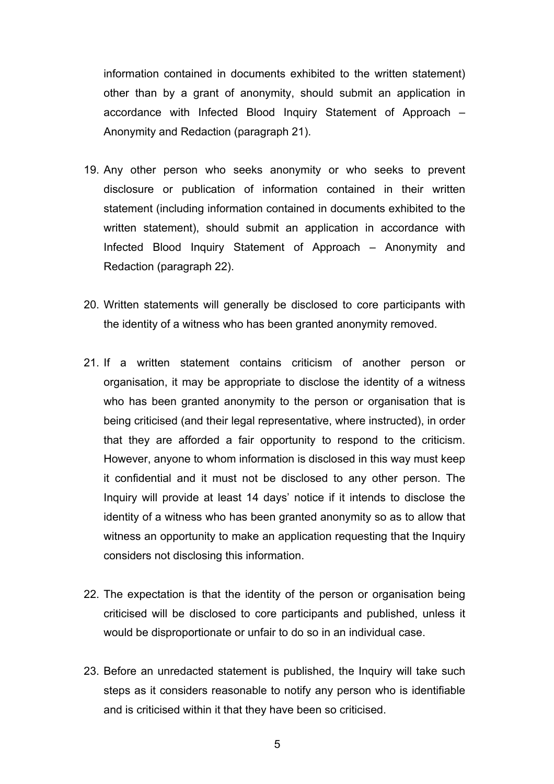information contained in documents exhibited to the written statement) other than by a grant of anonymity, should submit an application in accordance with Infected Blood Inquiry Statement of Approach – Anonymity and Redaction (paragraph 21).

- 19. Any other person who seeks anonymity or who seeks to prevent disclosure or publication of information contained in their written statement (including information contained in documents exhibited to the written statement), should submit an application in accordance with Infected Blood Inquiry Statement of Approach – Anonymity and Redaction (paragraph 22).
- 20. Written statements will generally be disclosed to core participants with the identity of a witness who has been granted anonymity removed.
- 21. If a written statement contains criticism of another person or organisation, it may be appropriate to disclose the identity of a witness who has been granted anonymity to the person or organisation that is being criticised (and their legal representative, where instructed), in order that they are afforded a fair opportunity to respond to the criticism. However, anyone to whom information is disclosed in this way must keep it confidential and it must not be disclosed to any other person. The Inquiry will provide at least 14 days' notice if it intends to disclose the identity of a witness who has been granted anonymity so as to allow that witness an opportunity to make an application requesting that the Inquiry considers not disclosing this information.
- 22. The expectation is that the identity of the person or organisation being criticised will be disclosed to core participants and published, unless it would be disproportionate or unfair to do so in an individual case.
- 23. Before an unredacted statement is published, the Inquiry will take such steps as it considers reasonable to notify any person who is identifiable and is criticised within it that they have been so criticised.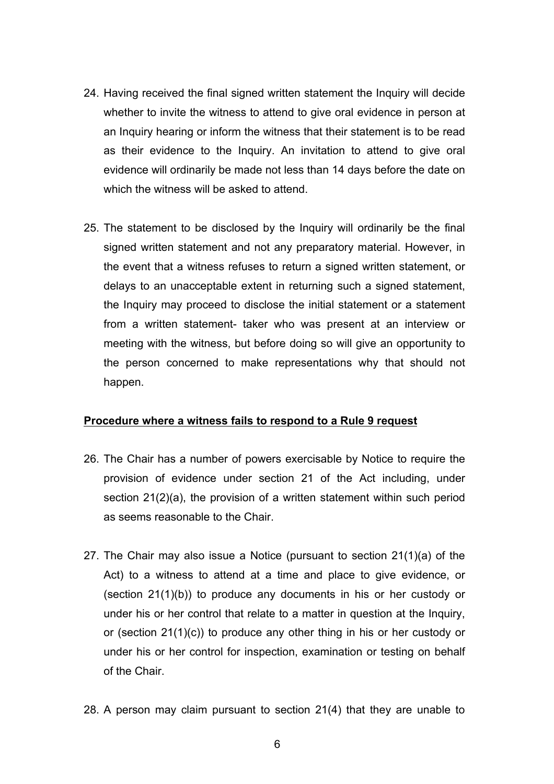- 24. Having received the final signed written statement the Inquiry will decide whether to invite the witness to attend to give oral evidence in person at an Inquiry hearing or inform the witness that their statement is to be read as their evidence to the Inquiry. An invitation to attend to give oral evidence will ordinarily be made not less than 14 days before the date on which the witness will be asked to attend.
- 25. The statement to be disclosed by the Inquiry will ordinarily be the final signed written statement and not any preparatory material. However, in the event that a witness refuses to return a signed written statement, or delays to an unacceptable extent in returning such a signed statement, the Inquiry may proceed to disclose the initial statement or a statement from a written statement- taker who was present at an interview or meeting with the witness, but before doing so will give an opportunity to the person concerned to make representations why that should not happen.

#### **Procedure where a witness fails to respond to a Rule 9 request**

- 26. The Chair has a number of powers exercisable by Notice to require the provision of evidence under section 21 of the Act including, under section 21(2)(a), the provision of a written statement within such period as seems reasonable to the Chair.
- 27. The Chair may also issue a Notice (pursuant to section 21(1)(a) of the Act) to a witness to attend at a time and place to give evidence, or (section 21(1)(b)) to produce any documents in his or her custody or under his or her control that relate to a matter in question at the Inquiry, or (section 21(1)(c)) to produce any other thing in his or her custody or under his or her control for inspection, examination or testing on behalf of the Chair.
- 28. A person may claim pursuant to section 21(4) that they are unable to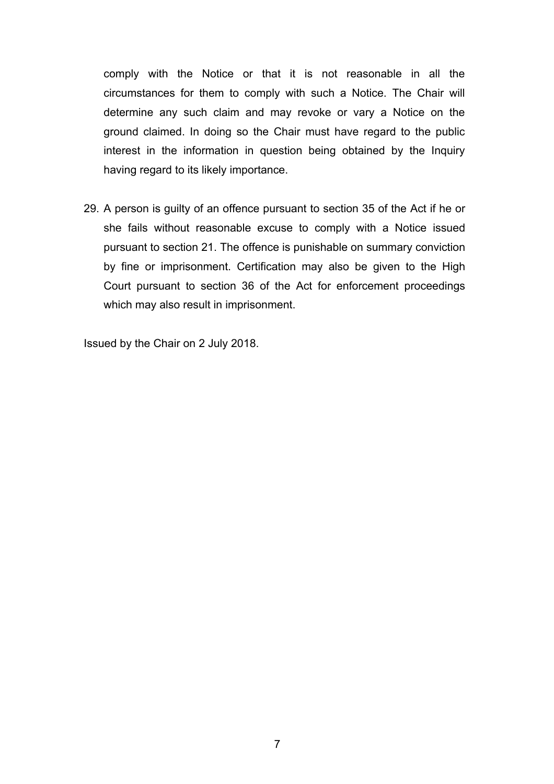comply with the Notice or that it is not reasonable in all the circumstances for them to comply with such a Notice. The Chair will determine any such claim and may revoke or vary a Notice on the ground claimed. In doing so the Chair must have regard to the public interest in the information in question being obtained by the Inquiry having regard to its likely importance.

29. A person is guilty of an offence pursuant to section 35 of the Act if he or she fails without reasonable excuse to comply with a Notice issued pursuant to section 21. The offence is punishable on summary conviction by fine or imprisonment. Certification may also be given to the High Court pursuant to section 36 of the Act for enforcement proceedings which may also result in imprisonment.

Issued by the Chair on 2 July 2018.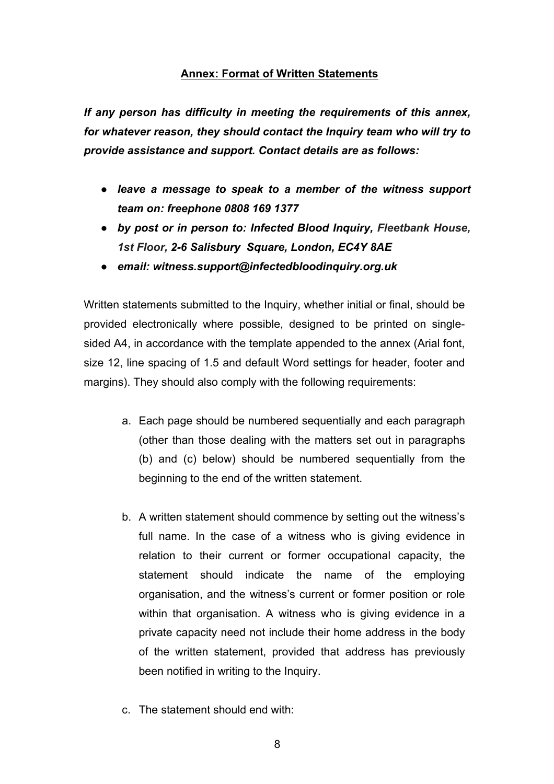#### **Annex: Format of Written Statements**

*If any person has difficulty in meeting the requirements of this annex, for whatever reason, they should contact the Inquiry team who will try to provide assistance and support. Contact details are as follows:* 

- *leave a message to speak to a member of the witness support team on: freephone 0808 169 1377*
- *by post or in person to: Infected Blood Inquiry, Fleetbank House, 1st Floor, 2-6 Salisbury Square, London, EC4Y 8AE*
- *email: witness.support@infectedbloodinquiry.org.uk*

Written statements submitted to the Inquiry, whether initial or final, should be provided electronically where possible, designed to be printed on singlesided A4, in accordance with the template appended to the annex (Arial font, size 12, line spacing of 1.5 and default Word settings for header, footer and margins). They should also comply with the following requirements:

- a. Each page should be numbered sequentially and each paragraph (other than those dealing with the matters set out in paragraphs (b) and (c) below) should be numbered sequentially from the beginning to the end of the written statement.
- b. A written statement should commence by setting out the witness's full name. In the case of a witness who is giving evidence in relation to their current or former occupational capacity, the statement should indicate the name of the employing organisation, and the witness's current or former position or role within that organisation. A witness who is giving evidence in a private capacity need not include their home address in the body of the written statement, provided that address has previously been notified in writing to the Inquiry.
- c. The statement should end with: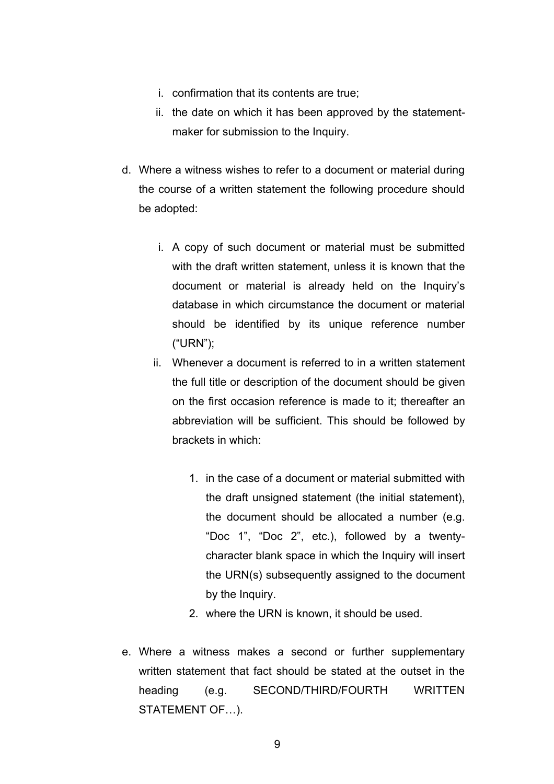- i. confirmation that its contents are true;
- ii. the date on which it has been approved by the statementmaker for submission to the Inquiry.
- d. Where a witness wishes to refer to a document or material during the course of a written statement the following procedure should be adopted:
	- i. A copy of such document or material must be submitted with the draft written statement, unless it is known that the document or material is already held on the Inquiry's database in which circumstance the document or material should be identified by its unique reference number ("URN");
	- ii. Whenever a document is referred to in a written statement the full title or description of the document should be given on the first occasion reference is made to it; thereafter an abbreviation will be sufficient. This should be followed by brackets in which:
		- 1. in the case of a document or material submitted with the draft unsigned statement (the initial statement), the document should be allocated a number (e.g. "Doc 1", "Doc 2", etc.), followed by a twentycharacter blank space in which the Inquiry will insert the URN(s) subsequently assigned to the document by the Inquiry.
		- 2. where the URN is known, it should be used.
- e. Where a witness makes a second or further supplementary written statement that fact should be stated at the outset in the heading (e.g. SECOND/THIRD/FOURTH WRITTEN STATEMENT OF…).